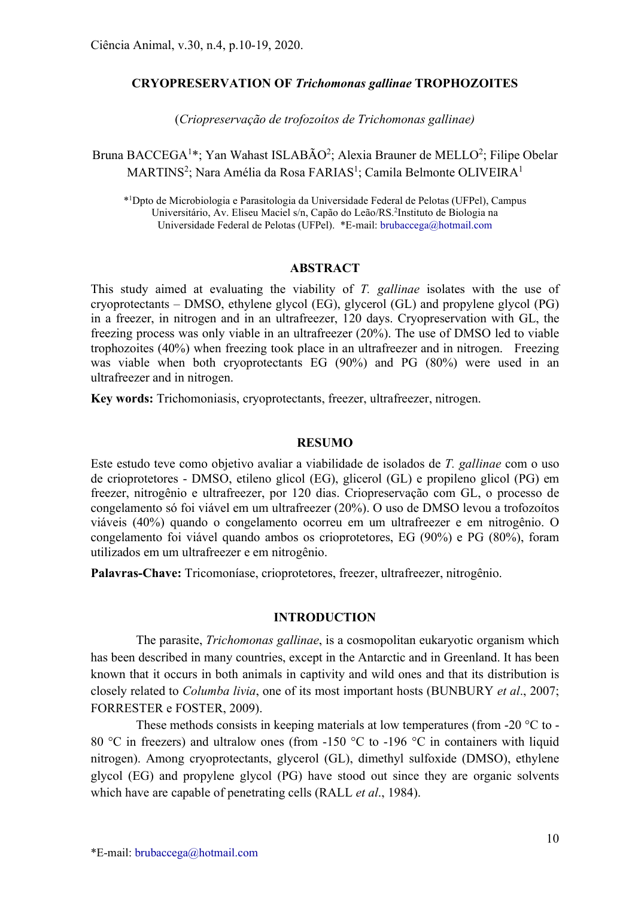# CRYOPRESERVATION OF Trichomonas gallinae TROPHOZOITES

(Criopreservação de trofozoítos de Trichomonas gallinae)

Bruna BACCEGA<sup>1\*</sup>; Yan Wahast ISLABÃO<sup>2</sup>; Alexia Brauner de MELLO<sup>2</sup>; Filipe Obelar  $\text{MARTINS}^2$ ; Nara Amélia da Rosa FARIAS<sup>1</sup>; Camila Belmonte OLIVEIRA<sup>1</sup>

\* <sup>1</sup>Dpto de Microbiologia e Parasitologia da Universidade Federal de Pelotas (UFPel), Campus Universitário, Av. Eliseu Maciel s/n, Capão do Leão/RS.<sup>2</sup>Instituto de Biologia na Universidade Federal de Pelotas (UFPel). \*E-mail: brubaccega@hotmail.com

### ABSTRACT

This study aimed at evaluating the viability of T. gallinae isolates with the use of cryoprotectants – DMSO, ethylene glycol (EG), glycerol (GL) and propylene glycol (PG) in a freezer, in nitrogen and in an ultrafreezer, 120 days. Cryopreservation with GL, the freezing process was only viable in an ultrafreezer (20%). The use of DMSO led to viable trophozoites (40%) when freezing took place in an ultrafreezer and in nitrogen. Freezing was viable when both cryoprotectants EG (90%) and PG (80%) were used in an ultrafreezer and in nitrogen.

Key words: Trichomoniasis, cryoprotectants, freezer, ultrafreezer, nitrogen.

#### RESUMO

Este estudo teve como objetivo avaliar a viabilidade de isolados de T. gallinae com o uso de crioprotetores - DMSO, etileno glicol (EG), glicerol (GL) e propileno glicol (PG) em freezer, nitrogênio e ultrafreezer, por 120 dias. Criopreservação com GL, o processo de congelamento só foi viável em um ultrafreezer (20%). O uso de DMSO levou a trofozoítos viáveis (40%) quando o congelamento ocorreu em um ultrafreezer e em nitrogênio. O congelamento foi viável quando ambos os crioprotetores, EG (90%) e PG (80%), foram utilizados em um ultrafreezer e em nitrogênio.

Palavras-Chave: Tricomoníase, crioprotetores, freezer, ultrafreezer, nitrogênio.

## INTRODUCTION

The parasite, *Trichomonas gallinae*, is a cosmopolitan eukaryotic organism which has been described in many countries, except in the Antarctic and in Greenland. It has been known that it occurs in both animals in captivity and wild ones and that its distribution is closely related to Columba livia, one of its most important hosts (BUNBURY et al., 2007; FORRESTER e FOSTER, 2009).

These methods consists in keeping materials at low temperatures (from -20 °C to -80 °C in freezers) and ultralow ones (from -150 °C to -196 °C in containers with liquid nitrogen). Among cryoprotectants, glycerol (GL), dimethyl sulfoxide (DMSO), ethylene glycol (EG) and propylene glycol (PG) have stood out since they are organic solvents which have are capable of penetrating cells (RALL *et al.*, 1984).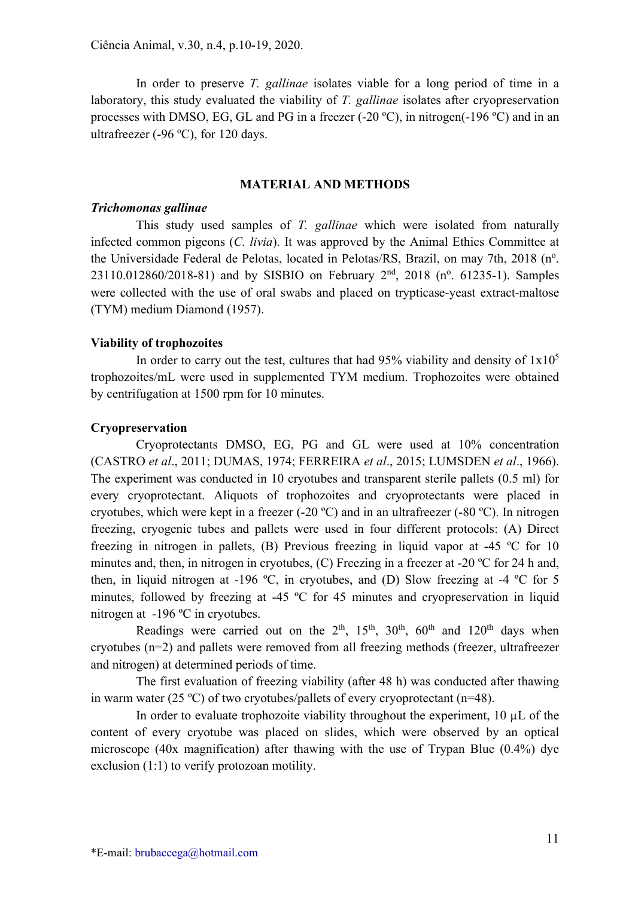In order to preserve *T. gallinae* isolates viable for a long period of time in a laboratory, this study evaluated the viability of T. gallinae isolates after cryopreservation processes with DMSO, EG, GL and PG in a freezer (-20 ºC), in nitrogen(-196 ºC) and in an ultrafreezer (-96 ºC), for 120 days.

## MATERIAL AND METHODS

## Trichomonas gallinae

This study used samples of T. gallinae which were isolated from naturally infected common pigeons (C. livia). It was approved by the Animal Ethics Committee at the Universidade Federal de Pelotas, located in Pelotas/RS, Brazil, on may 7th, 2018 (n°.  $23110.012860/2018-81$ ) and by SISBIO on February  $2<sup>nd</sup>$ , 2018 (n<sup>o</sup>. 61235-1). Samples were collected with the use of oral swabs and placed on trypticase-yeast extract-maltose (TYM) medium Diamond (1957).

## Viability of trophozoites

In order to carry out the test, cultures that had 95% viability and density of  $1x10<sup>5</sup>$ trophozoites/mL were used in supplemented TYM medium. Trophozoites were obtained by centrifugation at 1500 rpm for 10 minutes.

### Cryopreservation

Cryoprotectants DMSO, EG, PG and GL were used at 10% concentration (CASTRO et al., 2011; DUMAS, 1974; FERREIRA et al., 2015; LUMSDEN et al., 1966). The experiment was conducted in 10 cryotubes and transparent sterile pallets (0.5 ml) for every cryoprotectant. Aliquots of trophozoites and cryoprotectants were placed in cryotubes, which were kept in a freezer (-20 ºC) and in an ultrafreezer (-80 ºC). In nitrogen freezing, cryogenic tubes and pallets were used in four different protocols: (A) Direct freezing in nitrogen in pallets, (B) Previous freezing in liquid vapor at -45 ºC for 10 minutes and, then, in nitrogen in cryotubes, (C) Freezing in a freezer at -20 °C for 24 h and, then, in liquid nitrogen at -196 ºC, in cryotubes, and (D) Slow freezing at -4 ºC for 5 minutes, followed by freezing at -45 ºC for 45 minutes and cryopreservation in liquid nitrogen at -196 ºC in cryotubes.

Readings were carried out on the  $2<sup>th</sup>$ ,  $15<sup>th</sup>$ ,  $30<sup>th</sup>$ ,  $60<sup>th</sup>$  and  $120<sup>th</sup>$  days when cryotubes (n=2) and pallets were removed from all freezing methods (freezer, ultrafreezer and nitrogen) at determined periods of time.

The first evaluation of freezing viability (after 48 h) was conducted after thawing in warm water (25 °C) of two cryotubes/pallets of every cryoprotectant (n=48).

In order to evaluate trophozoite viability throughout the experiment,  $10 \mu L$  of the content of every cryotube was placed on slides, which were observed by an optical microscope (40x magnification) after thawing with the use of Trypan Blue (0.4%) dye exclusion (1:1) to verify protozoan motility.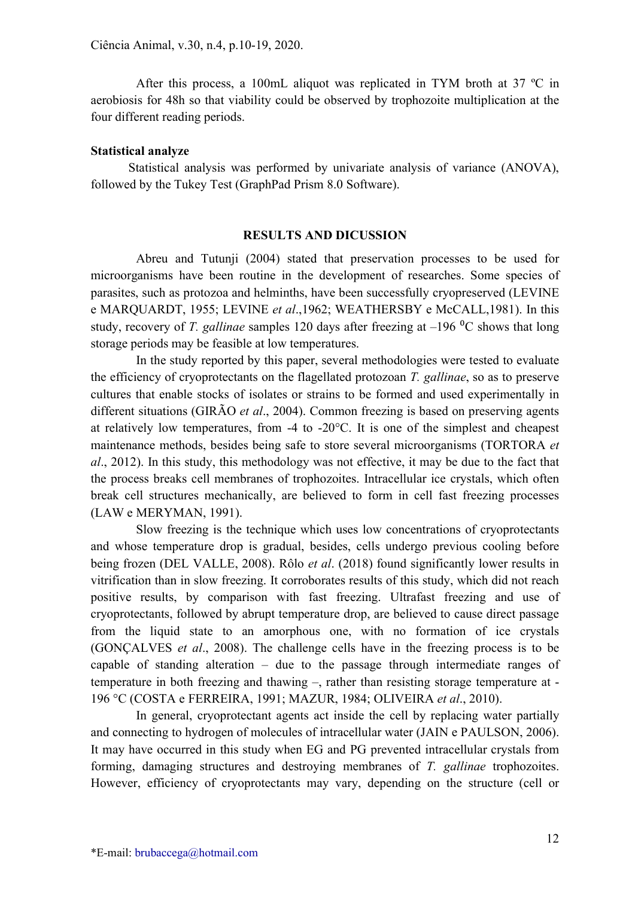After this process, a 100mL aliquot was replicated in TYM broth at 37 ºC in aerobiosis for 48h so that viability could be observed by trophozoite multiplication at the four different reading periods.

### Statistical analyze

Statistical analysis was performed by univariate analysis of variance (ANOVA), followed by the Tukey Test (GraphPad Prism 8.0 Software).

#### RESULTS AND DICUSSION

Abreu and Tutunji (2004) stated that preservation processes to be used for microorganisms have been routine in the development of researches. Some species of parasites, such as protozoa and helminths, have been successfully cryopreserved (LEVINE e MARQUARDT, 1955; LEVINE et al.,1962; WEATHERSBY e McCALL,1981). In this study, recovery of T. gallinae samples 120 days after freezing at  $-196$  °C shows that long storage periods may be feasible at low temperatures.

In the study reported by this paper, several methodologies were tested to evaluate the efficiency of cryoprotectants on the flagellated protozoan T. gallinae, so as to preserve cultures that enable stocks of isolates or strains to be formed and used experimentally in different situations (GIRÃO *et al.*, 2004). Common freezing is based on preserving agents at relatively low temperatures, from -4 to -20°C. It is one of the simplest and cheapest maintenance methods, besides being safe to store several microorganisms (TORTORA et al., 2012). In this study, this methodology was not effective, it may be due to the fact that the process breaks cell membranes of trophozoites. Intracellular ice crystals, which often break cell structures mechanically, are believed to form in cell fast freezing processes (LAW e MERYMAN, 1991).

Slow freezing is the technique which uses low concentrations of cryoprotectants and whose temperature drop is gradual, besides, cells undergo previous cooling before being frozen (DEL VALLE, 2008). Rôlo et al. (2018) found significantly lower results in vitrification than in slow freezing. It corroborates results of this study, which did not reach positive results, by comparison with fast freezing. Ultrafast freezing and use of cryoprotectants, followed by abrupt temperature drop, are believed to cause direct passage from the liquid state to an amorphous one, with no formation of ice crystals (GONÇALVES et al., 2008). The challenge cells have in the freezing process is to be capable of standing alteration – due to the passage through intermediate ranges of temperature in both freezing and thawing –, rather than resisting storage temperature at - 196 °C (COSTA e FERREIRA, 1991; MAZUR, 1984; OLIVEIRA et al., 2010).

In general, cryoprotectant agents act inside the cell by replacing water partially and connecting to hydrogen of molecules of intracellular water (JAIN e PAULSON, 2006). It may have occurred in this study when EG and PG prevented intracellular crystals from forming, damaging structures and destroying membranes of T. gallinae trophozoites. However, efficiency of cryoprotectants may vary, depending on the structure (cell or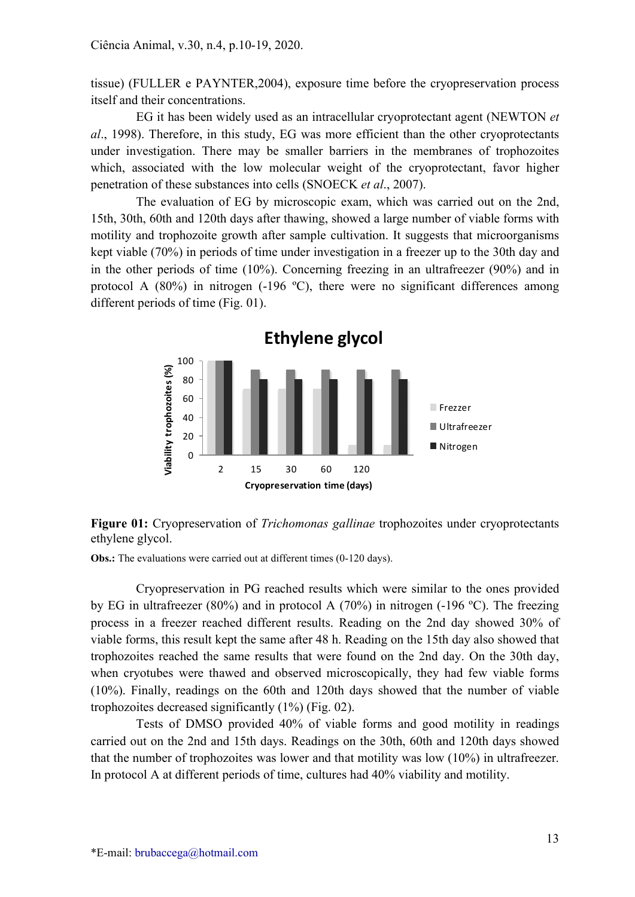tissue) (FULLER e PAYNTER,2004), exposure time before the cryopreservation process itself and their concentrations.

EG it has been widely used as an intracellular cryoprotectant agent (NEWTON et al., 1998). Therefore, in this study, EG was more efficient than the other cryoprotectants under investigation. There may be smaller barriers in the membranes of trophozoites which, associated with the low molecular weight of the cryoprotectant, favor higher penetration of these substances into cells (SNOECK et al., 2007).

The evaluation of EG by microscopic exam, which was carried out on the 2nd, 15th, 30th, 60th and 120th days after thawing, showed a large number of viable forms with motility and trophozoite growth after sample cultivation. It suggests that microorganisms kept viable (70%) in periods of time under investigation in a freezer up to the 30th day and in the other periods of time (10%). Concerning freezing in an ultrafreezer (90%) and in protocol A  $(80\%)$  in nitrogen  $(-196 \degree C)$ , there were no significant differences among different periods of time (Fig. 01).



Figure 01: Cryopreservation of *Trichomonas gallinae* trophozoites under cryoprotectants ethylene glycol.

Obs.: The evaluations were carried out at different times (0-120 days).

Cryopreservation in PG reached results which were similar to the ones provided by EG in ultrafreezer (80%) and in protocol A (70%) in nitrogen (-196 ºC). The freezing process in a freezer reached different results. Reading on the 2nd day showed 30% of viable forms, this result kept the same after 48 h. Reading on the 15th day also showed that trophozoites reached the same results that were found on the 2nd day. On the 30th day, when cryotubes were thawed and observed microscopically, they had few viable forms (10%). Finally, readings on the 60th and 120th days showed that the number of viable trophozoites decreased significantly (1%) (Fig. 02).

Tests of DMSO provided 40% of viable forms and good motility in readings carried out on the 2nd and 15th days. Readings on the 30th, 60th and 120th days showed that the number of trophozoites was lower and that motility was low (10%) in ultrafreezer. In protocol A at different periods of time, cultures had 40% viability and motility.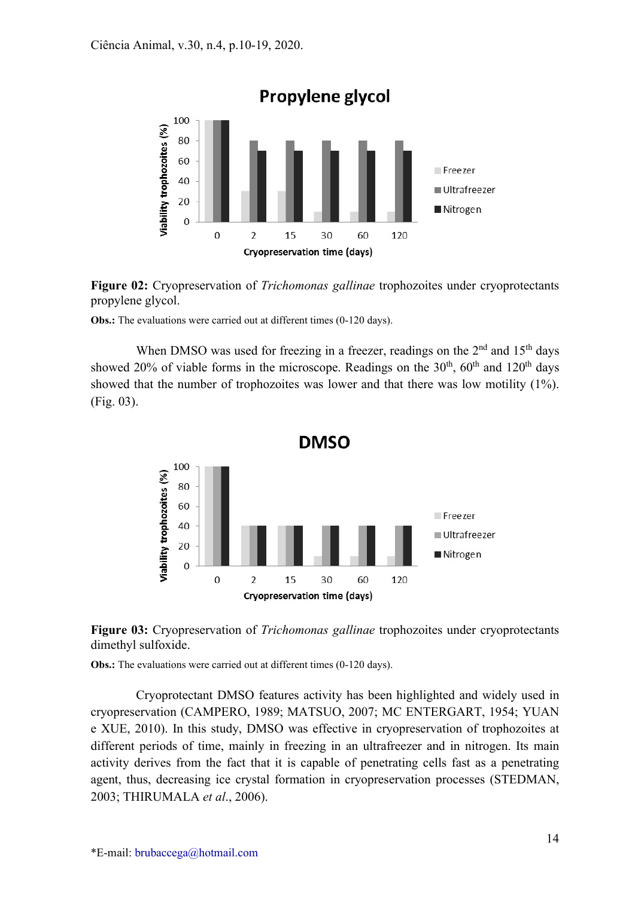

Figure 02: Cryopreservation of *Trichomonas gallinae* trophozoites under cryoprotectants propylene glycol.

**Obs.:** The evaluations were carried out at different times (0-120 days).

When DMSO was used for freezing in a freezer, readings on the  $2<sup>nd</sup>$  and  $15<sup>th</sup>$  days showed 20% of viable forms in the microscope. Readings on the  $30<sup>th</sup>$ ,  $60<sup>th</sup>$  and  $120<sup>th</sup>$  days showed that the number of trophozoites was lower and that there was low motility (1%). (Fig. 03).





Obs.: The evaluations were carried out at different times (0-120 days).

Cryoprotectant DMSO features activity has been highlighted and widely used in cryopreservation (CAMPERO, 1989; MATSUO, 2007; MC ENTERGART, 1954; YUAN e XUE, 2010). In this study, DMSO was effective in cryopreservation of trophozoites at different periods of time, mainly in freezing in an ultrafreezer and in nitrogen. Its main activity derives from the fact that it is capable of penetrating cells fast as a penetrating agent, thus, decreasing ice crystal formation in cryopreservation processes (STEDMAN, 2003; THIRUMALA et al., 2006).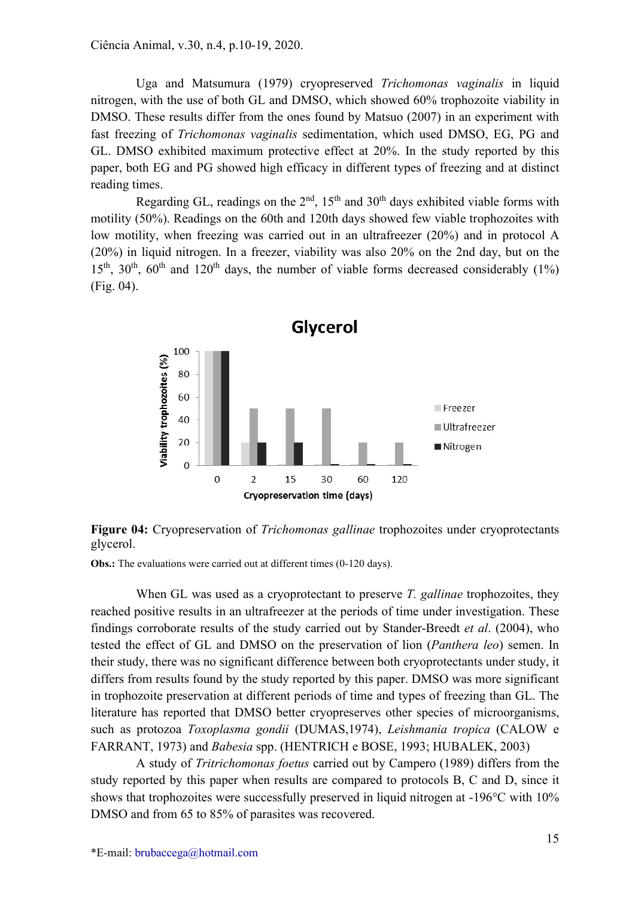Uga and Matsumura (1979) cryopreserved Trichomonas vaginalis in liquid nitrogen, with the use of both GL and DMSO, which showed 60% trophozoite viability in DMSO. These results differ from the ones found by Matsuo (2007) in an experiment with fast freezing of Trichomonas vaginalis sedimentation, which used DMSO, EG, PG and GL. DMSO exhibited maximum protective effect at 20%. In the study reported by this paper, both EG and PG showed high efficacy in different types of freezing and at distinct reading times.

Regarding GL, readings on the  $2<sup>nd</sup>$ ,  $15<sup>th</sup>$  and  $30<sup>th</sup>$  days exhibited viable forms with motility (50%). Readings on the 60th and 120th days showed few viable trophozoites with low motility, when freezing was carried out in an ultrafreezer (20%) and in protocol A (20%) in liquid nitrogen. In a freezer, viability was also 20% on the 2nd day, but on the  $15<sup>th</sup>$ ,  $30<sup>th</sup>$ ,  $60<sup>th</sup>$  and  $120<sup>th</sup>$  days, the number of viable forms decreased considerably (1%) (Fig. 04).



Figure 04: Cryopreservation of *Trichomonas gallinae* trophozoites under cryoprotectants glycerol.

Obs.: The evaluations were carried out at different times (0-120 days).

When GL was used as a cryoprotectant to preserve T. gallinae trophozoites, they reached positive results in an ultrafreezer at the periods of time under investigation. These findings corroborate results of the study carried out by Stander-Breedt et al. (2004), who tested the effect of GL and DMSO on the preservation of lion (Panthera leo) semen. In their study, there was no significant difference between both cryoprotectants under study, it differs from results found by the study reported by this paper. DMSO was more significant in trophozoite preservation at different periods of time and types of freezing than GL. The literature has reported that DMSO better cryopreserves other species of microorganisms, such as protozoa Toxoplasma gondii (DUMAS,1974), Leishmania tropica (CALOW e FARRANT, 1973) and Babesia spp. (HENTRICH e BOSE, 1993; HUBALEK, 2003)

A study of Tritrichomonas foetus carried out by Campero (1989) differs from the study reported by this paper when results are compared to protocols B, C and D, since it shows that trophozoites were successfully preserved in liquid nitrogen at -196°C with 10% DMSO and from 65 to 85% of parasites was recovered.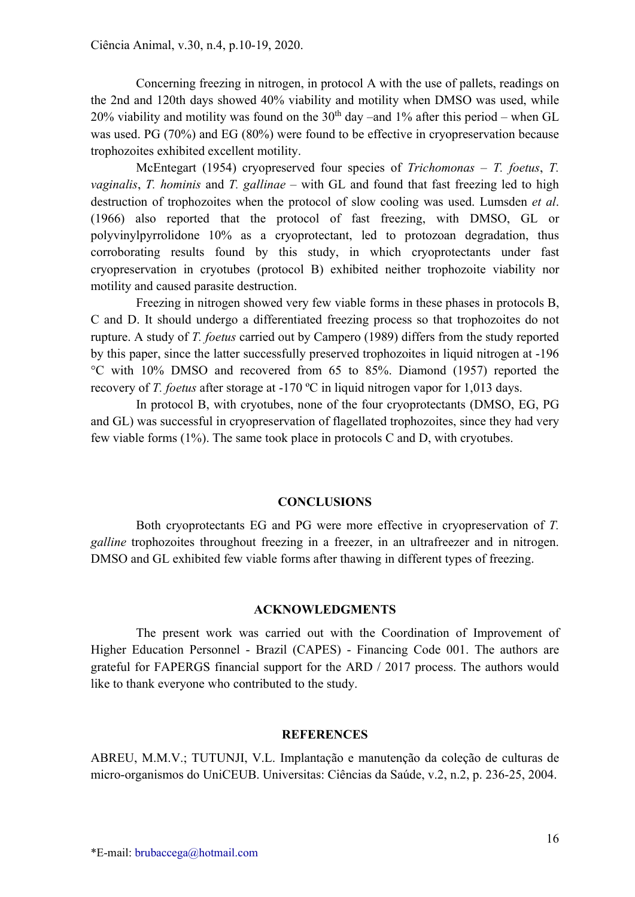Concerning freezing in nitrogen, in protocol A with the use of pallets, readings on the 2nd and 120th days showed 40% viability and motility when DMSO was used, while 20% viability and motility was found on the  $30<sup>th</sup>$  day –and 1% after this period – when GL was used. PG (70%) and EG (80%) were found to be effective in cryopreservation because trophozoites exhibited excellent motility.

McEntegart (1954) cryopreserved four species of Trichomonas – T. foetus, T. *vaginalis, T. hominis* and T. *gallinae* – with GL and found that fast freezing led to high destruction of trophozoites when the protocol of slow cooling was used. Lumsden et al. (1966) also reported that the protocol of fast freezing, with DMSO, GL or polyvinylpyrrolidone 10% as a cryoprotectant, led to protozoan degradation, thus corroborating results found by this study, in which cryoprotectants under fast cryopreservation in cryotubes (protocol B) exhibited neither trophozoite viability nor motility and caused parasite destruction.

Freezing in nitrogen showed very few viable forms in these phases in protocols B, C and D. It should undergo a differentiated freezing process so that trophozoites do not rupture. A study of T. foetus carried out by Campero (1989) differs from the study reported by this paper, since the latter successfully preserved trophozoites in liquid nitrogen at -196 °C with 10% DMSO and recovered from 65 to 85%. Diamond (1957) reported the recovery of T. foetus after storage at -170  $^{\circ}$ C in liquid nitrogen vapor for 1,013 days.

In protocol B, with cryotubes, none of the four cryoprotectants (DMSO, EG, PG and GL) was successful in cryopreservation of flagellated trophozoites, since they had very few viable forms (1%). The same took place in protocols C and D, with cryotubes.

## **CONCLUSIONS**

Both cryoprotectants EG and PG were more effective in cryopreservation of T. galline trophozoites throughout freezing in a freezer, in an ultrafreezer and in nitrogen. DMSO and GL exhibited few viable forms after thawing in different types of freezing.

#### ACKNOWLEDGMENTS

The present work was carried out with the Coordination of Improvement of Higher Education Personnel - Brazil (CAPES) - Financing Code 001. The authors are grateful for FAPERGS financial support for the ARD / 2017 process. The authors would like to thank everyone who contributed to the study.

#### **REFERENCES**

ABREU, M.M.V.; TUTUNJI, V.L. Implantação e manutenção da coleção de culturas de micro-organismos do UniCEUB. Universitas: Ciências da Saúde, v.2, n.2, p. 236-25, 2004.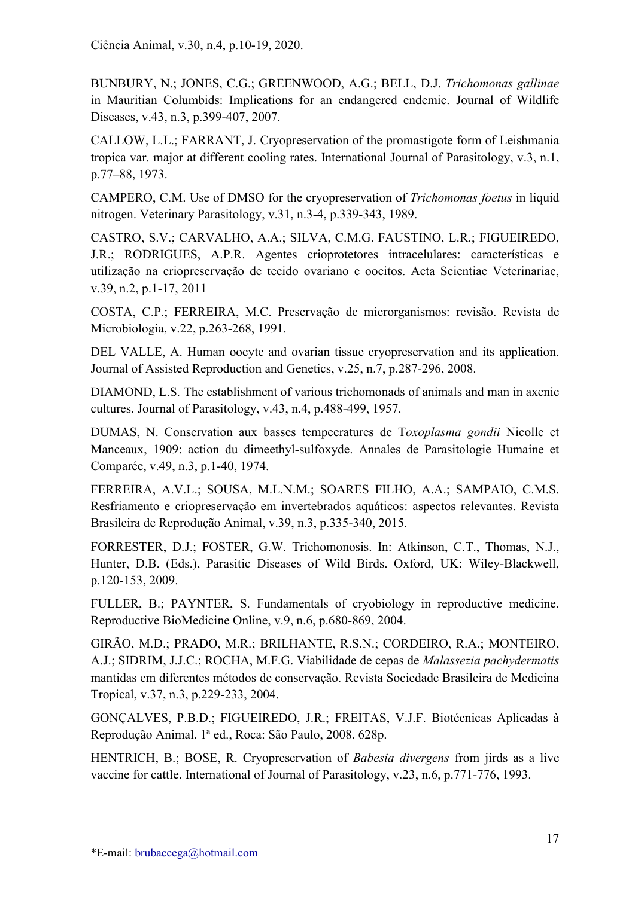BUNBURY, N.; JONES, C.G.; GREENWOOD, A.G.; BELL, D.J. Trichomonas gallinae in Mauritian Columbids: Implications for an endangered endemic. Journal of Wildlife Diseases, v.43, n.3, p.399-407, 2007.

CALLOW, L.L.; FARRANT, J. Cryopreservation of the promastigote form of Leishmania tropica var. major at different cooling rates. International Journal of Parasitology, v.3, n.1, p.77–88, 1973.

CAMPERO, C.M. Use of DMSO for the cryopreservation of Trichomonas foetus in liquid nitrogen. Veterinary Parasitology, v.31, n.3-4, p.339-343, 1989.

CASTRO, S.V.; CARVALHO, A.A.; SILVA, C.M.G. FAUSTINO, L.R.; FIGUEIREDO, J.R.; RODRIGUES, A.P.R. Agentes crioprotetores intracelulares: características e utilização na criopreservação de tecido ovariano e oocitos. Acta Scientiae Veterinariae, v.39, n.2, p.1-17, 2011

COSTA, C.P.; FERREIRA, M.C. Preservação de microrganismos: revisão. Revista de Microbiologia, v.22, p.263-268, 1991.

DEL VALLE, A. Human oocyte and ovarian tissue cryopreservation and its application. Journal of Assisted Reproduction and Genetics, v.25, n.7, p.287-296, 2008.

DIAMOND, L.S. The establishment of various trichomonads of animals and man in axenic cultures. Journal of Parasitology, v.43, n.4, p.488-499, 1957.

DUMAS, N. Conservation aux basses tempeeratures de Toxoplasma gondii Nicolle et Manceaux, 1909: action du dimeethyl-sulfoxyde. Annales de Parasitologie Humaine et Comparée, v.49, n.3, p.1-40, 1974.

FERREIRA, A.V.L.; SOUSA, M.L.N.M.; SOARES FILHO, A.A.; SAMPAIO, C.M.S. Resfriamento e criopreservação em invertebrados aquáticos: aspectos relevantes. Revista Brasileira de Reprodução Animal, v.39, n.3, p.335-340, 2015.

FORRESTER, D.J.; FOSTER, G.W. Trichomonosis. In: Atkinson, C.T., Thomas, N.J., Hunter, D.B. (Eds.), Parasitic Diseases of Wild Birds. Oxford, UK: Wiley-Blackwell, p.120-153, 2009.

FULLER, B.; PAYNTER, S. Fundamentals of cryobiology in reproductive medicine. Reproductive BioMedicine Online, v.9, n.6, p.680-869, 2004.

GIRÃO, M.D.; PRADO, M.R.; BRILHANTE, R.S.N.; CORDEIRO, R.A.; MONTEIRO, A.J.; SIDRIM, J.J.C.; ROCHA, M.F.G. Viabilidade de cepas de Malassezia pachydermatis mantidas em diferentes métodos de conservação. Revista Sociedade Brasileira de Medicina Tropical, v.37, n.3, p.229-233, 2004.

GONÇALVES, P.B.D.; FIGUEIREDO, J.R.; FREITAS, V.J.F. Biotécnicas Aplicadas à Reprodução Animal. 1ª ed., Roca: São Paulo, 2008. 628p.

HENTRICH, B.; BOSE, R. Cryopreservation of Babesia divergens from jirds as a live vaccine for cattle. International of Journal of Parasitology, v.23, n.6, p.771-776, 1993.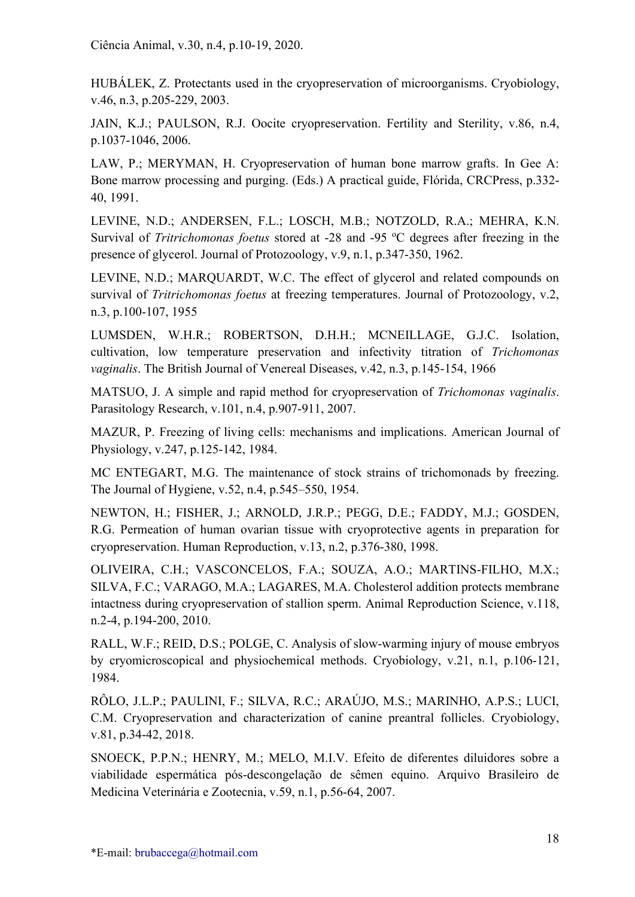HUBÁLEK, Z. Protectants used in the cryopreservation of microorganisms. Cryobiology, v.46, n.3, p.205-229, 2003.

JAIN, K.J.; PAULSON, R.J. Oocite cryopreservation. Fertility and Sterility, v.86, n.4, p.1037-1046, 2006.

LAW, P.; MERYMAN, H. Cryopreservation of human bone marrow grafts. In Gee A: Bone marrow processing and purging. (Eds.) A practical guide, Flórida, CRCPress, p.332- 40, 1991.

LEVINE, N.D.; ANDERSEN, F.L.; LOSCH, M.B.; NOTZOLD, R.A.; MEHRA, K.N. Survival of *Tritrichomonas foetus* stored at -28 and -95  $^{\circ}$ C degrees after freezing in the presence of glycerol. Journal of Protozoology, v.9, n.1, p.347-350, 1962.

LEVINE, N.D.; MARQUARDT, W.C. The effect of glycerol and related compounds on survival of *Tritrichomonas foetus* at freezing temperatures. Journal of Protozoology, v.2, n.3, p.100-107, 1955

LUMSDEN, W.H.R.; ROBERTSON, D.H.H.; MCNEILLAGE, G.J.C. Isolation, cultivation, low temperature preservation and infectivity titration of Trichomonas vaginalis. The British Journal of Venereal Diseases, v.42, n.3, p.145-154, 1966

MATSUO, J. A simple and rapid method for cryopreservation of Trichomonas vaginalis. Parasitology Research, v.101, n.4, p.907-911, 2007.

MAZUR, P. Freezing of living cells: mechanisms and implications. American Journal of Physiology, v.247, p.125-142, 1984.

MC ENTEGART, M.G. The maintenance of stock strains of trichomonads by freezing. The Journal of Hygiene, v.52, n.4, p.545–550, 1954.

NEWTON, H.; FISHER, J.; ARNOLD, J.R.P.; PEGG, D.E.; FADDY, M.J.; GOSDEN, R.G. Permeation of human ovarian tissue with cryoprotective agents in preparation for cryopreservation. Human Reproduction, v.13, n.2, p.376-380, 1998.

OLIVEIRA, C.H.; VASCONCELOS, F.A.; SOUZA, A.O.; MARTINS-FILHO, M.X.; SILVA, F.C.; VARAGO, M.A.; LAGARES, M.A. Cholesterol addition protects membrane intactness during cryopreservation of stallion sperm. Animal Reproduction Science, v.118, n.2-4, p.194-200, 2010.

RALL, W.F.; REID, D.S.; POLGE, C. Analysis of slow-warming injury of mouse embryos by cryomicroscopical and physiochemical methods. Cryobiology, v.21, n.1, p.106-121, 1984.

RÔLO, J.L.P.; PAULINI, F.; SILVA, R.C.; ARAÚJO, M.S.; MARINHO, A.P.S.; LUCI, C.M. Cryopreservation and characterization of canine preantral follicles. Cryobiology, v.81, p.34-42, 2018.

SNOECK, P.P.N.; HENRY, M.; MELO, M.I.V. Efeito de diferentes diluidores sobre a viabilidade espermática pós-descongelação de sêmen equino. Arquivo Brasileiro de Medicina Veterinária e Zootecnia, v.59, n.1, p.56-64, 2007.